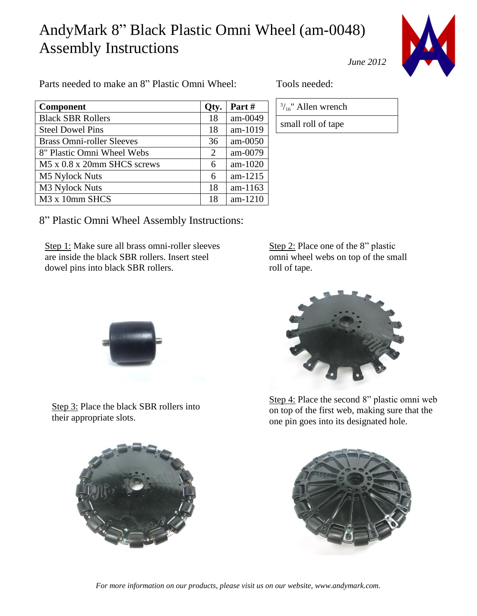## AndyMark 8" Black Plastic Omni Wheel (am-0048) Assembly Instructions



*June 2012*

Parts needed to make an 8" Plastic Omni Wheel: Tools needed:

| <b>Component</b>                 | Qty. | Part#     |
|----------------------------------|------|-----------|
| <b>Black SBR Rollers</b>         | 18   | am-0049   |
| <b>Steel Dowel Pins</b>          | 18   | am-1019   |
| <b>Brass Omni-roller Sleeves</b> | 36   | $am-0050$ |
| 8" Plastic Omni Wheel Webs       | 2    | am-0079   |
| M5 x 0.8 x 20mm SHCS screws      | 6    | am-1020   |
| <b>M5 Nylock Nuts</b>            | 6    | am-1215   |
| M3 Nylock Nuts                   | 18   | am-1163   |
| M <sub>3</sub> x 10mm SHCS       | 18   | am-1210   |

 $\frac{3}{16}$ " Allen wrench small roll of tape

8" Plastic Omni Wheel Assembly Instructions:

Step 1: Make sure all brass omni-roller sleeves are inside the black SBR rollers. Insert steel dowel pins into black SBR rollers.

Step 2: Place one of the 8" plastic omni wheel webs on top of the small roll of tape.



Step 3: Place the black SBR rollers into their appropriate slots.



Step 4: Place the second 8" plastic omni web on top of the first web, making sure that the one pin goes into its designated hole.





*For more information on our products, please visit us on our website, www.andymark.com.*